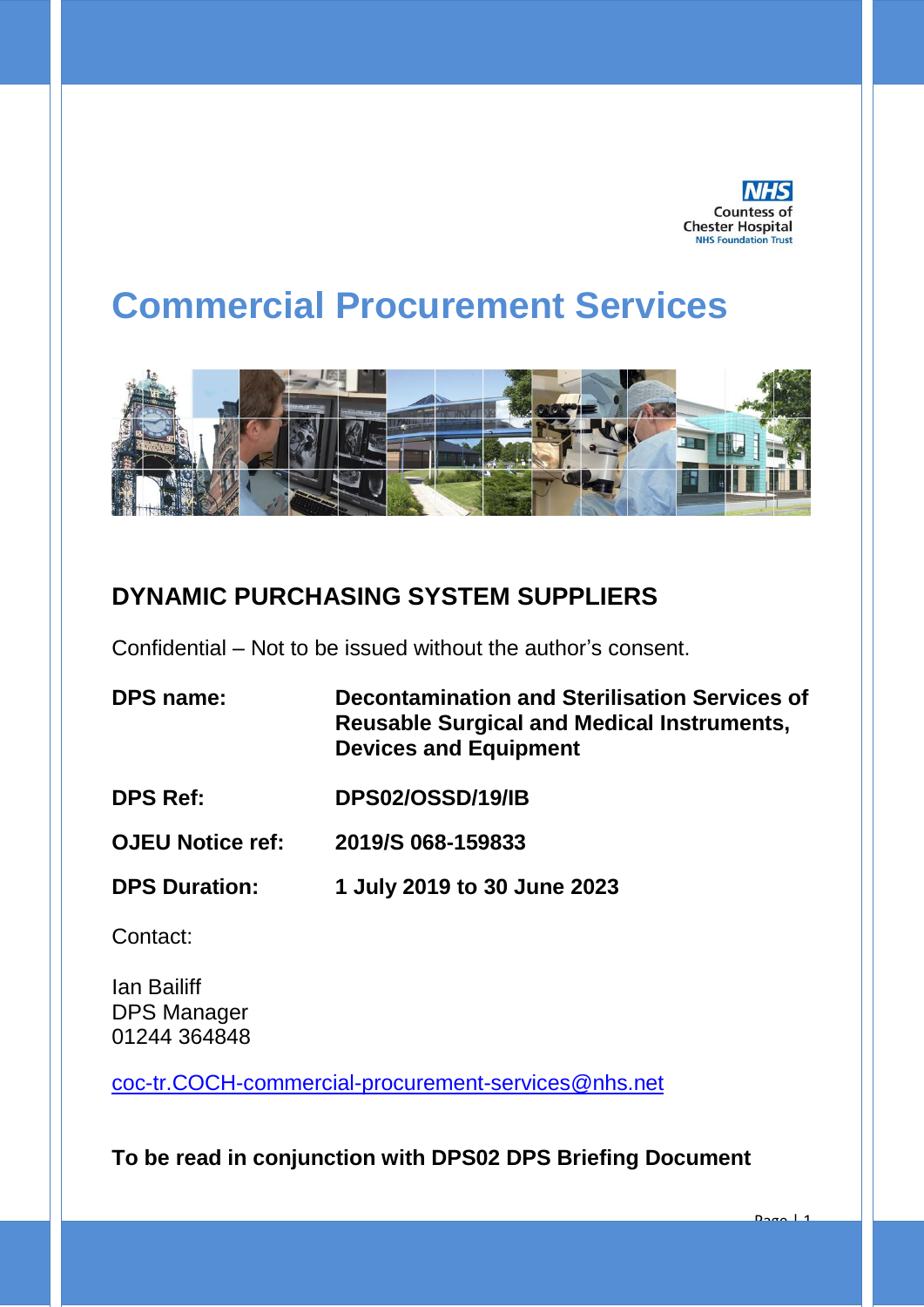

Page | 1

# **Commercial Procurement Services**



### **DYNAMIC PURCHASING SYSTEM SUPPLIERS**

Confidential – Not to be issued without the author's consent.

- **DPS name: Decontamination and Sterilisation Services of Reusable Surgical and Medical Instruments, Devices and Equipment**
- **DPS Ref: DPS02/OSSD/19/IB**
- **OJEU Notice ref: 2019/S 068-159833**
- **DPS Duration: 1 July 2019 to 30 June 2023**

Contact:

Ian Bailiff DPS Manager 01244 364848

[coc-tr.COCH-commercial-procurement-services@nhs.net](mailto:coc-tr.COCH-commercial-procurement-services@nhs.net)

**To be read in conjunction with DPS02 DPS Briefing Document**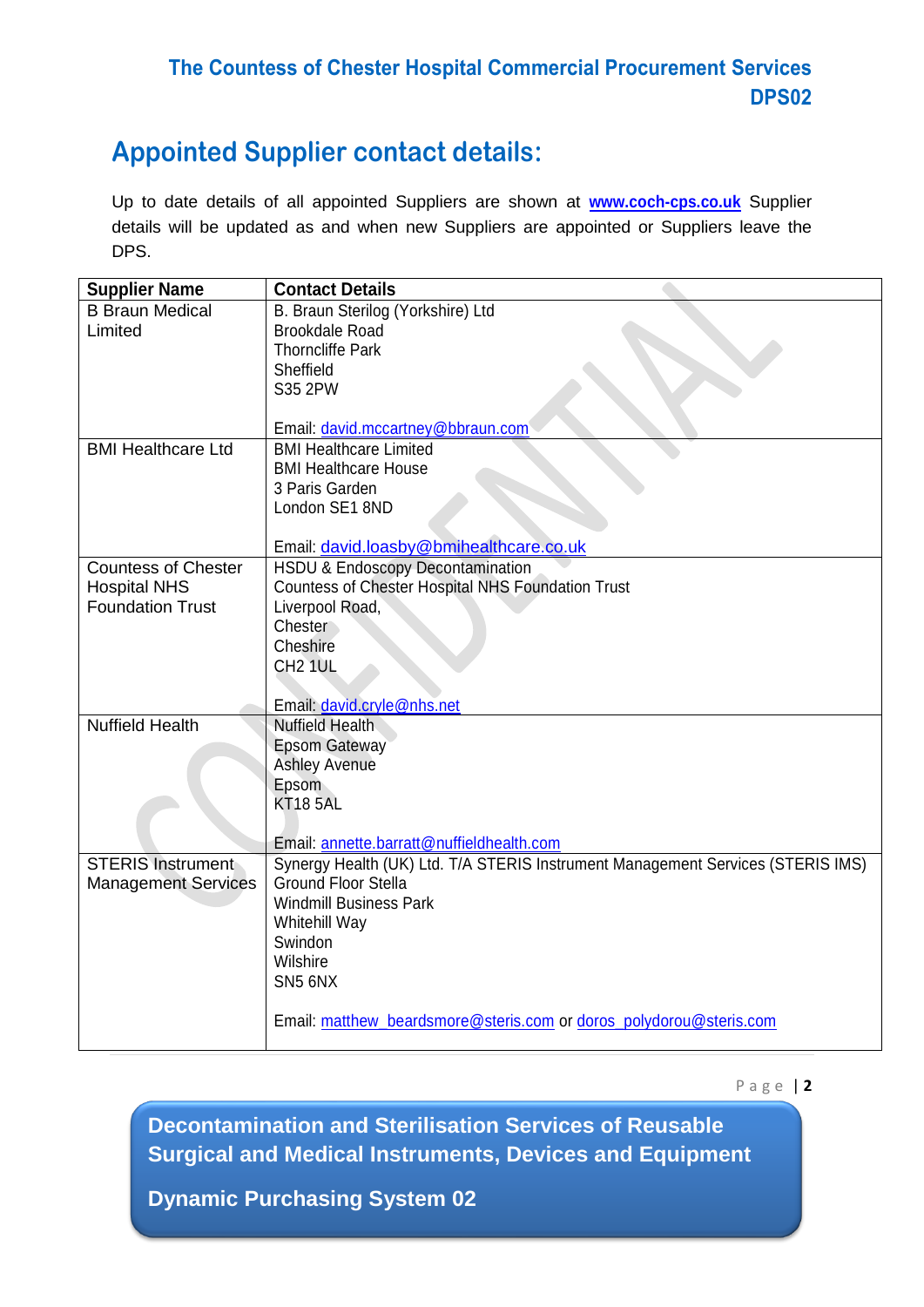### **The Countess of Chester Hospital Commercial Procurement Services DPS02**

## **Appointed Supplier contact details:**

Up to date details of all appointed Suppliers are shown at **[www.coch-cps.co.uk](http://www.coch-cps.co.uk/)** Supplier details will be updated as and when new Suppliers are appointed or Suppliers leave the DPS.

| <b>Supplier Name</b>       | <b>Contact Details</b>                                                          |
|----------------------------|---------------------------------------------------------------------------------|
| <b>B Braun Medical</b>     | B. Braun Sterilog (Yorkshire) Ltd                                               |
| Limited                    | <b>Brookdale Road</b>                                                           |
|                            | <b>Thorncliffe Park</b>                                                         |
|                            | Sheffield                                                                       |
|                            | S35 2PW                                                                         |
|                            |                                                                                 |
|                            | Email: david.mccartney@bbraun.com                                               |
| <b>BMI Healthcare Ltd</b>  | <b>BMI Healthcare Limited</b>                                                   |
|                            | <b>BMI Healthcare House</b>                                                     |
|                            | 3 Paris Garden                                                                  |
|                            | London SE1 8ND                                                                  |
|                            |                                                                                 |
|                            | Email: david.loasby@bmihealthcare.co.uk                                         |
| <b>Countess of Chester</b> | <b>HSDU &amp; Endoscopy Decontamination</b>                                     |
| <b>Hospital NHS</b>        | Countess of Chester Hospital NHS Foundation Trust                               |
| <b>Foundation Trust</b>    | Liverpool Road,                                                                 |
|                            | Chester                                                                         |
|                            | Cheshire                                                                        |
|                            | CH <sub>2</sub> 1UL                                                             |
|                            |                                                                                 |
|                            | Email: david.cryle@nhs.net                                                      |
| <b>Nuffield Health</b>     | <b>Nuffield Health</b>                                                          |
|                            | <b>Epsom Gateway</b>                                                            |
|                            | <b>Ashley Avenue</b>                                                            |
|                            | Epsom                                                                           |
|                            | <b>KT18 5AL</b>                                                                 |
|                            |                                                                                 |
|                            | Email: annette.barratt@nuffieldhealth.com                                       |
| <b>STERIS Instrument</b>   | Synergy Health (UK) Ltd. T/A STERIS Instrument Management Services (STERIS IMS) |
| <b>Management Services</b> | <b>Ground Floor Stella</b>                                                      |
|                            | <b>Windmill Business Park</b>                                                   |
|                            | Whitehill Way                                                                   |
|                            | Swindon                                                                         |
|                            | Wilshire                                                                        |
|                            | SN5 6NX                                                                         |
|                            |                                                                                 |
|                            | Email: matthew_beardsmore@steris.com or doros_polydorou@steris.com              |
|                            |                                                                                 |

P a g e | **2**

**Decontamination and Sterilisation Services of Reusable Surgical and Medical Instruments, Devices and Equipment**

**FRAMEWORK PERIOD – 26/04/2017 – 25/04/2021**

**Dynamic Purchasing System 02**